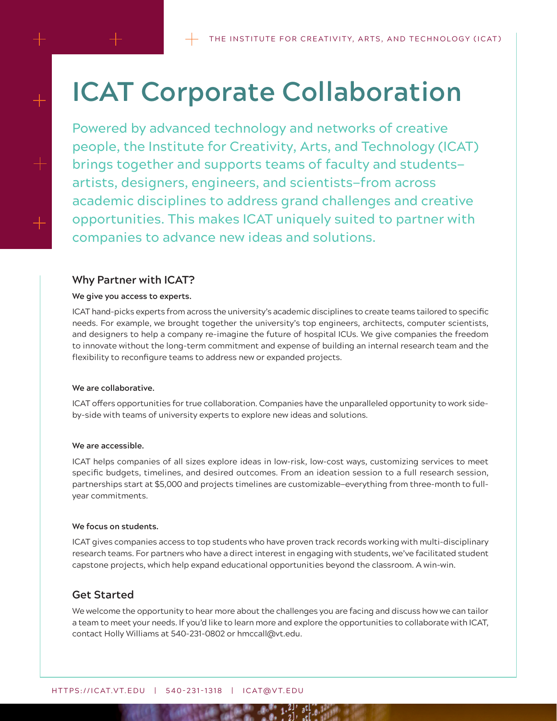# **ICAT Corporate Collaboration**

Powered by advanced technology and networks of creative people, the Institute for Creativity, Arts, and Technology (ICAT) brings together and supports teams of faculty and students artists, designers, engineers, and scientists—from across academic disciplines to address grand challenges and creative opportunities. This makes ICAT uniquely suited to partner with companies to advance new ideas and solutions.

# **Why Partner with ICAT?**

## **We give you access to experts.**

ICAT hand-picks experts from across the university's academic disciplines to create teams tailored to specific needs. For example, we brought together the university's top engineers, architects, computer scientists, and designers to help a company re-imagine the future of hospital ICUs. We give companies the freedom to innovate without the long-term commitment and expense of building an internal research team and the flexibility to reconfigure teams to address new or expanded projects.

## **We are collaborative.**

ICAT offers opportunities for true collaboration. Companies have the unparalleled opportunity to work sideby-side with teams of university experts to explore new ideas and solutions.

## **We are accessible.**

ICAT helps companies of all sizes explore ideas in low-risk, low-cost ways, customizing services to meet specific budgets, timelines, and desired outcomes. From an ideation session to a full research session, partnerships start at \$5,000 and projects timelines are customizable—everything from three-month to fullyear commitments.

## **We focus on students.**

ICAT gives companies access to top students who have proven track records working with multi-disciplinary research teams. For partners who have a direct interest in engaging with students, we've facilitated student capstone projects, which help expand educational opportunities beyond the classroom. A win-win.

# **Get Started**

We welcome the opportunity to hear more about the challenges you are facing and discuss how we can tailor a team to meet your needs. If you'd like to learn more and explore the opportunities to collaborate with ICAT, contact Holly Williams at 540-231-0802 or hmccall@vt.edu.